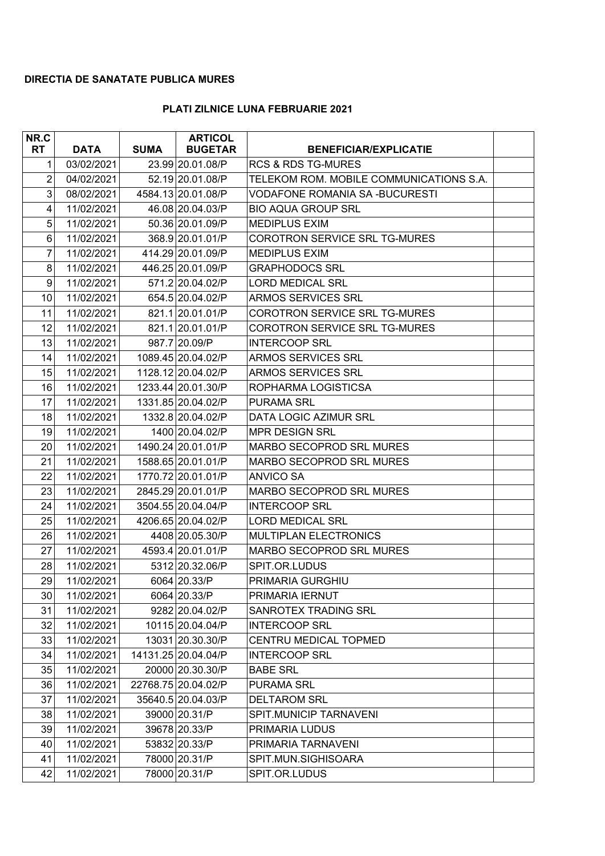## **DIRECTIA DE SANATATE PUBLICA MURES**

## **PLATI ZILNICE LUNA FEBRUARIE 2021**

| NR.C           |             |             | <b>ARTICOL</b>      |                                         |  |
|----------------|-------------|-------------|---------------------|-----------------------------------------|--|
| <b>RT</b>      | <b>DATA</b> | <b>SUMA</b> | <b>BUGETAR</b>      | <b>BENEFICIAR/EXPLICATIE</b>            |  |
| 1              | 03/02/2021  |             | 23.99 20.01.08/P    | <b>RCS &amp; RDS TG-MURES</b>           |  |
| $\overline{2}$ | 04/02/2021  |             | 52.19 20.01.08/P    | TELEKOM ROM. MOBILE COMMUNICATIONS S.A. |  |
| $\mathbf{3}$   | 08/02/2021  |             | 4584.13 20.01.08/P  | <b>VODAFONE ROMANIA SA-BUCURESTI</b>    |  |
| 4              | 11/02/2021  |             | 46.08 20.04.03/P    | <b>BIO AQUA GROUP SRL</b>               |  |
| 5              | 11/02/2021  |             | 50.36 20.01.09/P    | <b>MEDIPLUS EXIM</b>                    |  |
| 6              | 11/02/2021  |             | 368.9 20.01.01/P    | COROTRON SERVICE SRL TG-MURES           |  |
| 7              | 11/02/2021  |             | 414.29 20.01.09/P   | <b>MEDIPLUS EXIM</b>                    |  |
| 8              | 11/02/2021  |             | 446.25 20.01.09/P   | <b>GRAPHODOCS SRL</b>                   |  |
| 9              | 11/02/2021  |             | 571.2 20.04.02/P    | <b>LORD MEDICAL SRL</b>                 |  |
| 10             | 11/02/2021  |             | 654.5 20.04.02/P    | <b>ARMOS SERVICES SRL</b>               |  |
| 11             | 11/02/2021  |             | 821.1 20.01.01/P    | <b>COROTRON SERVICE SRL TG-MURES</b>    |  |
| 12             | 11/02/2021  |             | 821.1 20.01.01/P    | <b>COROTRON SERVICE SRL TG-MURES</b>    |  |
| 13             | 11/02/2021  |             | 987.7 20.09/P       | <b>INTERCOOP SRL</b>                    |  |
| 14             | 11/02/2021  |             | 1089.45 20.04.02/P  | <b>ARMOS SERVICES SRL</b>               |  |
| 15             | 11/02/2021  |             | 1128.12 20.04.02/P  | <b>ARMOS SERVICES SRL</b>               |  |
| 16             | 11/02/2021  |             | 1233.44 20.01.30/P  | ROPHARMA LOGISTICSA                     |  |
| 17             | 11/02/2021  |             | 1331.85 20.04.02/P  | <b>PURAMA SRL</b>                       |  |
| 18             | 11/02/2021  |             | 1332.8 20.04.02/P   | DATA LOGIC AZIMUR SRL                   |  |
| 19             | 11/02/2021  |             | 1400 20.04.02/P     | <b>MPR DESIGN SRL</b>                   |  |
| 20             | 11/02/2021  |             | 1490.24 20.01.01/P  | MARBO SECOPROD SRL MURES                |  |
| 21             | 11/02/2021  |             | 1588.65 20.01.01/P  | <b>MARBO SECOPROD SRL MURES</b>         |  |
| 22             | 11/02/2021  |             | 1770.72 20.01.01/P  | <b>ANVICO SA</b>                        |  |
| 23             | 11/02/2021  |             | 2845.29 20.01.01/P  | <b>MARBO SECOPROD SRL MURES</b>         |  |
| 24             | 11/02/2021  |             | 3504.55 20.04.04/P  | <b>INTERCOOP SRL</b>                    |  |
| 25             | 11/02/2021  |             | 4206.65 20.04.02/P  | <b>LORD MEDICAL SRL</b>                 |  |
| 26             | 11/02/2021  |             | 4408 20.05.30/P     | <b>MULTIPLAN ELECTRONICS</b>            |  |
| 27             | 11/02/2021  |             | 4593.4 20.01.01/P   | MARBO SECOPROD SRL MURES                |  |
| 28             | 11/02/2021  |             | 5312 20.32.06/P     | SPIT.OR.LUDUS                           |  |
| 29             | 11/02/2021  |             | 6064 20.33/P        | PRIMARIA GURGHIU                        |  |
| 30             | 11/02/2021  |             | 6064 20.33/P        | PRIMARIA IERNUT                         |  |
| 31             | 11/02/2021  |             | 9282 20.04.02/P     | SANROTEX TRADING SRL                    |  |
| 32             | 11/02/2021  |             | 10115 20.04.04/P    | <b>INTERCOOP SRL</b>                    |  |
| 33             | 11/02/2021  |             | 13031 20.30.30/P    | CENTRU MEDICAL TOPMED                   |  |
| 34             | 11/02/2021  |             | 14131.25 20.04.04/P | <b>INTERCOOP SRL</b>                    |  |
| 35             | 11/02/2021  |             | 20000 20.30.30/P    | <b>BABE SRL</b>                         |  |
| 36             | 11/02/2021  |             | 22768.75 20.04.02/P | <b>PURAMA SRL</b>                       |  |
| 37             | 11/02/2021  |             | 35640.5 20.04.03/P  | <b>DELTAROM SRL</b>                     |  |
| 38             | 11/02/2021  |             | 39000 20.31/P       | SPIT.MUNICIP TARNAVENI                  |  |
| 39             | 11/02/2021  |             | 39678 20.33/P       | PRIMARIA LUDUS                          |  |
| 40             | 11/02/2021  |             | 53832 20.33/P       | PRIMARIA TARNAVENI                      |  |
| 41             | 11/02/2021  |             | 78000 20.31/P       | SPIT.MUN.SIGHISOARA                     |  |
| 42             | 11/02/2021  |             | 78000 20.31/P       | SPIT.OR.LUDUS                           |  |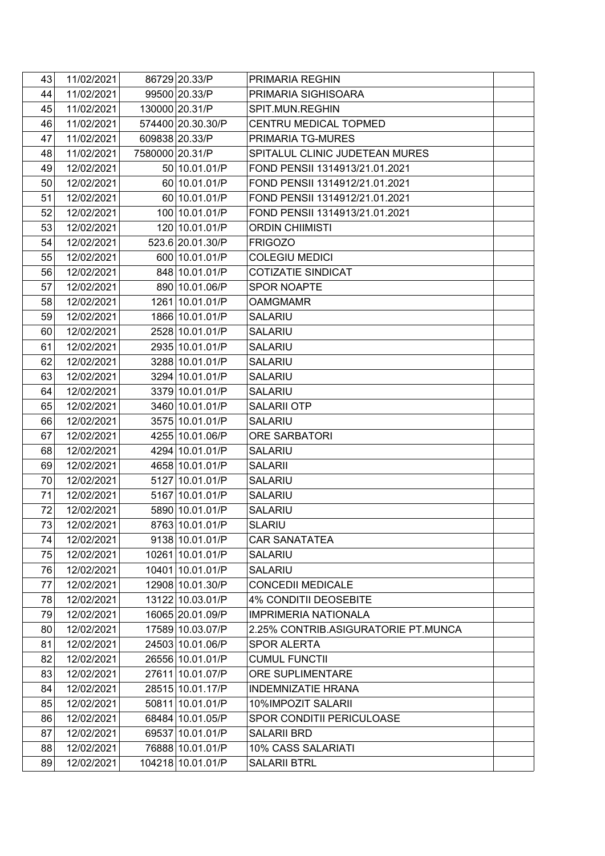| 43 | 11/02/2021 |                 | 86729 20.33/P     | PRIMARIA REGHIN                     |  |
|----|------------|-----------------|-------------------|-------------------------------------|--|
| 44 | 11/02/2021 |                 | 99500 20.33/P     | PRIMARIA SIGHISOARA                 |  |
| 45 | 11/02/2021 |                 | 130000 20.31/P    | SPIT.MUN.REGHIN                     |  |
| 46 | 11/02/2021 |                 | 574400 20.30.30/P | CENTRU MEDICAL TOPMED               |  |
| 47 | 11/02/2021 |                 | 609838 20.33/P    | PRIMARIA TG-MURES                   |  |
| 48 | 11/02/2021 | 7580000 20.31/P |                   | SPITALUL CLINIC JUDETEAN MURES      |  |
| 49 | 12/02/2021 |                 | 50 10.01.01/P     | FOND PENSII 1314913/21.01.2021      |  |
| 50 | 12/02/2021 |                 | 60 10.01.01/P     | FOND PENSII 1314912/21.01.2021      |  |
| 51 | 12/02/2021 |                 | 60 10.01.01/P     | FOND PENSII 1314912/21.01.2021      |  |
| 52 | 12/02/2021 |                 | 100 10.01.01/P    | FOND PENSII 1314913/21.01.2021      |  |
| 53 | 12/02/2021 |                 | 120 10.01.01/P    | <b>ORDIN CHIIMISTI</b>              |  |
| 54 | 12/02/2021 |                 | 523.6 20.01.30/P  | <b>FRIGOZO</b>                      |  |
| 55 | 12/02/2021 |                 | 600 10.01.01/P    | <b>COLEGIU MEDICI</b>               |  |
| 56 | 12/02/2021 |                 | 848 10.01.01/P    | <b>COTIZATIE SINDICAT</b>           |  |
| 57 | 12/02/2021 |                 | 890 10.01.06/P    | <b>SPOR NOAPTE</b>                  |  |
| 58 | 12/02/2021 |                 | 1261 10.01.01/P   | <b>OAMGMAMR</b>                     |  |
| 59 | 12/02/2021 |                 | 1866 10.01.01/P   | <b>SALARIU</b>                      |  |
| 60 | 12/02/2021 |                 | 2528 10.01.01/P   | <b>SALARIU</b>                      |  |
| 61 | 12/02/2021 |                 | 2935 10.01.01/P   | <b>SALARIU</b>                      |  |
| 62 | 12/02/2021 |                 | 3288 10.01.01/P   | <b>SALARIU</b>                      |  |
| 63 | 12/02/2021 |                 | 3294 10.01.01/P   | <b>SALARIU</b>                      |  |
| 64 | 12/02/2021 |                 | 3379 10.01.01/P   | <b>SALARIU</b>                      |  |
| 65 | 12/02/2021 |                 | 3460 10.01.01/P   | <b>SALARII OTP</b>                  |  |
| 66 | 12/02/2021 |                 | 3575 10.01.01/P   | <b>SALARIU</b>                      |  |
| 67 | 12/02/2021 |                 | 4255 10.01.06/P   | <b>ORE SARBATORI</b>                |  |
| 68 | 12/02/2021 |                 | 4294 10.01.01/P   | <b>SALARIU</b>                      |  |
| 69 | 12/02/2021 |                 | 4658 10.01.01/P   | <b>SALARII</b>                      |  |
| 70 | 12/02/2021 |                 | 5127 10.01.01/P   | <b>SALARIU</b>                      |  |
| 71 | 12/02/2021 |                 | 5167 10.01.01/P   | <b>SALARIU</b>                      |  |
| 72 | 12/02/2021 |                 | 5890 10.01.01/P   | <b>SALARIU</b>                      |  |
| 73 | 12/02/2021 |                 | 8763 10.01.01/P   | <b>SLARIU</b>                       |  |
| 74 | 12/02/2021 |                 | 9138 10.01.01/P   | <b>CAR SANATATEA</b>                |  |
| 75 | 12/02/2021 |                 | 10261 10.01.01/P  | <b>SALARIU</b>                      |  |
| 76 | 12/02/2021 |                 | 10401 10.01.01/P  | <b>SALARIU</b>                      |  |
| 77 | 12/02/2021 |                 | 12908 10.01.30/P  | <b>CONCEDII MEDICALE</b>            |  |
| 78 | 12/02/2021 |                 | 13122 10.03.01/P  | <b>4% CONDITII DEOSEBITE</b>        |  |
| 79 | 12/02/2021 |                 | 16065 20.01.09/P  | <b>IMPRIMERIA NATIONALA</b>         |  |
| 80 | 12/02/2021 |                 | 17589 10.03.07/P  | 2.25% CONTRIB.ASIGURATORIE PT.MUNCA |  |
| 81 | 12/02/2021 |                 | 24503 10.01.06/P  | <b>SPOR ALERTA</b>                  |  |
| 82 | 12/02/2021 |                 | 26556 10.01.01/P  | <b>CUMUL FUNCTII</b>                |  |
| 83 | 12/02/2021 |                 | 27611 10.01.07/P  | ORE SUPLIMENTARE                    |  |
| 84 | 12/02/2021 |                 | 28515 10.01.17/P  | <b>INDEMNIZATIE HRANA</b>           |  |
| 85 | 12/02/2021 |                 | 50811 10.01.01/P  | 10%IMPOZIT SALARII                  |  |
| 86 | 12/02/2021 |                 | 68484 10.01.05/P  | <b>SPOR CONDITII PERICULOASE</b>    |  |
| 87 | 12/02/2021 |                 | 69537 10.01.01/P  | <b>SALARII BRD</b>                  |  |
| 88 | 12/02/2021 |                 | 76888 10.01.01/P  | 10% CASS SALARIATI                  |  |
| 89 | 12/02/2021 |                 | 104218 10.01.01/P | <b>SALARII BTRL</b>                 |  |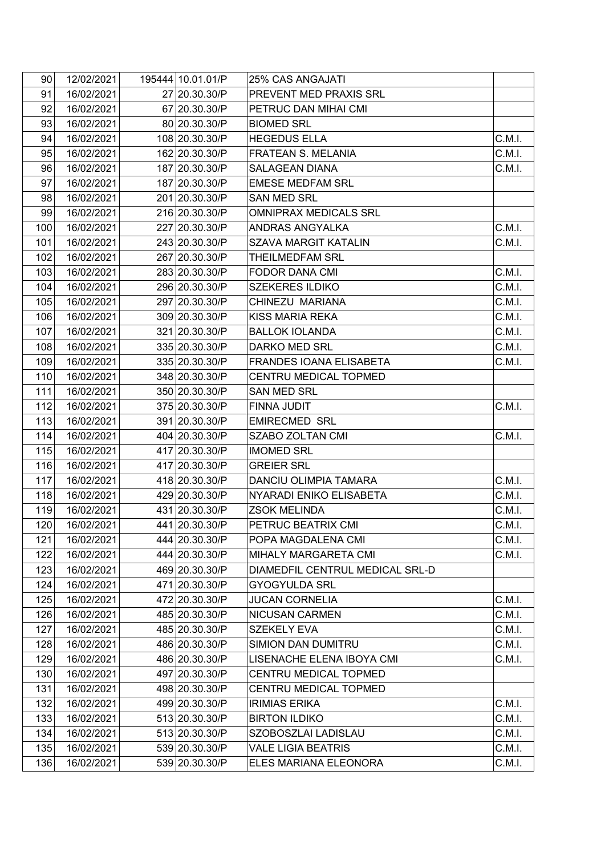| 90 <sub>1</sub> | 12/02/2021 | 195444 10.01.01/P | <b>25% CAS ANGAJATI</b>         |        |
|-----------------|------------|-------------------|---------------------------------|--------|
| 91              | 16/02/2021 | 27 20.30.30/P     | PREVENT MED PRAXIS SRL          |        |
| 92              | 16/02/2021 | 67 20.30.30/P     | PETRUC DAN MIHAI CMI            |        |
| 93              | 16/02/2021 | 80 20.30.30/P     | <b>BIOMED SRL</b>               |        |
| 94              | 16/02/2021 | 108 20.30.30/P    | <b>HEGEDUS ELLA</b>             | C.M.I. |
| 95              | 16/02/2021 | 162 20.30.30/P    | FRATEAN S. MELANIA              | C.M.I. |
| 96              | 16/02/2021 | 187 20.30.30/P    | <b>SALAGEAN DIANA</b>           | C.M.I. |
| 97              | 16/02/2021 | 187 20.30.30/P    | <b>EMESE MEDFAM SRL</b>         |        |
| 98              | 16/02/2021 | 201 20.30.30/P    | <b>SAN MED SRL</b>              |        |
| 99              | 16/02/2021 | 216 20.30.30/P    | <b>OMNIPRAX MEDICALS SRL</b>    |        |
| 100             | 16/02/2021 | 227 20.30.30/P    | ANDRAS ANGYALKA                 | C.M.I. |
| 101             | 16/02/2021 | 243 20.30.30/P    | <b>SZAVA MARGIT KATALIN</b>     | C.M.I. |
| 102             | 16/02/2021 | 267 20.30.30/P    | THEILMEDFAM SRL                 |        |
| 103             | 16/02/2021 | 283 20.30.30/P    | <b>FODOR DANA CMI</b>           | C.M.I. |
| 104             | 16/02/2021 | 296 20.30.30/P    | <b>SZEKERES ILDIKO</b>          | C.M.I. |
| 105             | 16/02/2021 | 297 20.30.30/P    | CHINEZU MARIANA                 | C.M.I. |
| 106             | 16/02/2021 | 309 20.30.30/P    | KISS MARIA REKA                 | C.M.I. |
| 107             | 16/02/2021 | 321 20.30.30/P    | <b>BALLOK IOLANDA</b>           | C.M.I. |
| 108             | 16/02/2021 | 335 20.30.30/P    | DARKO MED SRL                   | C.M.I. |
| 109             | 16/02/2021 | 335 20.30.30/P    | FRANDES IOANA ELISABETA         | C.M.I. |
| 110             | 16/02/2021 | 348 20.30.30/P    | CENTRU MEDICAL TOPMED           |        |
| 111             | 16/02/2021 | 350 20.30.30/P    | <b>SAN MED SRL</b>              |        |
| 112             | 16/02/2021 | 375 20.30.30/P    | FINNA JUDIT                     | C.M.I. |
| 113             | 16/02/2021 | 391 20.30.30/P    | <b>EMIRECMED SRL</b>            |        |
| 114             | 16/02/2021 | 404 20.30.30/P    | SZABO ZOLTAN CMI                | C.M.I. |
| 115             | 16/02/2021 | 417 20.30.30/P    | <b>IMOMED SRL</b>               |        |
| 116             | 16/02/2021 | 417 20.30.30/P    | <b>GREIER SRL</b>               |        |
| 117             | 16/02/2021 | 418 20.30.30/P    | DANCIU OLIMPIA TAMARA           | C.M.I. |
| 118             | 16/02/2021 | 429 20.30.30/P    | NYARADI ENIKO ELISABETA         | C.M.I. |
| 119             | 16/02/2021 | 431 20.30.30/P    | <b>ZSOK MELINDA</b>             | C.M.I. |
| 120             | 16/02/2021 | 441 20.30.30/P    | PETRUC BEATRIX CMI              | C.M.I. |
| 121             | 16/02/2021 | 444 20.30.30/P    | POPA MAGDALENA CMI              | C.M.I. |
| 122             | 16/02/2021 | 444 20.30.30/P    | MIHALY MARGARETA CMI            | C.M.I. |
| 123             | 16/02/2021 | 469 20.30.30/P    | DIAMEDFIL CENTRUL MEDICAL SRL-D |        |
| 124             | 16/02/2021 | 471 20.30.30/P    | <b>GYOGYULDA SRL</b>            |        |
| 125             | 16/02/2021 | 472 20.30.30/P    | <b>JUCAN CORNELIA</b>           | C.M.I. |
| 126             | 16/02/2021 | 485 20.30.30/P    | <b>NICUSAN CARMEN</b>           | C.M.I. |
| 127             | 16/02/2021 | 485 20.30.30/P    | <b>SZEKELY EVA</b>              | C.M.I. |
| 128             | 16/02/2021 | 486 20.30.30/P    | <b>SIMION DAN DUMITRU</b>       | C.M.I. |
| 129             | 16/02/2021 | 486 20.30.30/P    | LISENACHE ELENA IBOYA CMI       | C.M.I. |
| 130             | 16/02/2021 | 497 20.30.30/P    | CENTRU MEDICAL TOPMED           |        |
| 131             | 16/02/2021 | 498 20.30.30/P    | CENTRU MEDICAL TOPMED           |        |
| 132             | 16/02/2021 | 499 20.30.30/P    | <b>IRIMIAS ERIKA</b>            | C.M.I. |
| 133             | 16/02/2021 | 513 20.30.30/P    | <b>BIRTON ILDIKO</b>            | C.M.I. |
| 134             | 16/02/2021 | 513 20.30.30/P    | SZOBOSZLAI LADISLAU             | C.M.I. |
| 135             | 16/02/2021 | 539 20.30.30/P    | <b>VALE LIGIA BEATRIS</b>       | C.M.I. |
| 136             | 16/02/2021 | 539 20.30.30/P    | ELES MARIANA ELEONORA           | C.M.I. |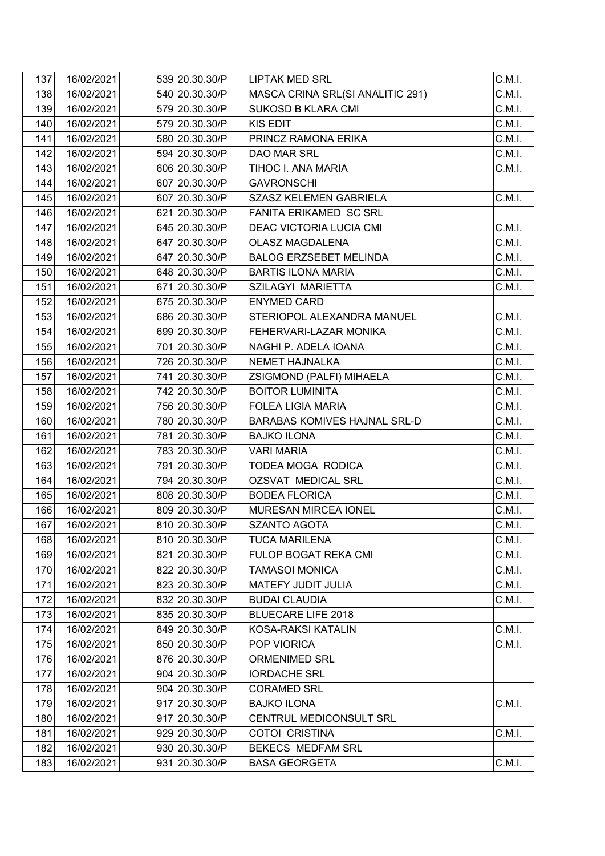| 137 | 16/02/2021 | 539 20.30.30/P | <b>LIPTAK MED SRL</b>               | C.M.I. |
|-----|------------|----------------|-------------------------------------|--------|
| 138 | 16/02/2021 | 540 20.30.30/P | MASCA CRINA SRL(SI ANALITIC 291)    | C.M.I. |
| 139 | 16/02/2021 | 579 20.30.30/P | <b>SUKOSD B KLARA CMI</b>           | C.M.I. |
| 140 | 16/02/2021 | 579 20.30.30/P | <b>KIS EDIT</b>                     | C.M.I. |
| 141 | 16/02/2021 | 580 20.30.30/P | PRINCZ RAMONA ERIKA                 | C.M.I. |
| 142 | 16/02/2021 | 594 20.30.30/P | DAO MAR SRL                         | C.M.I. |
| 143 | 16/02/2021 | 606 20.30.30/P | TIHOC I. ANA MARIA                  | C.M.I. |
| 144 | 16/02/2021 | 607 20.30.30/P | <b>GAVRONSCHI</b>                   |        |
| 145 | 16/02/2021 | 607 20.30.30/P | <b>SZASZ KELEMEN GABRIELA</b>       | C.M.I. |
| 146 | 16/02/2021 | 621 20.30.30/P | FANITA ERIKAMED SC SRL              |        |
| 147 | 16/02/2021 | 645 20.30.30/P | DEAC VICTORIA LUCIA CMI             | C.M.I. |
| 148 | 16/02/2021 | 647 20.30.30/P | <b>OLASZ MAGDALENA</b>              | C.M.I. |
| 149 | 16/02/2021 | 647 20.30.30/P | <b>BALOG ERZSEBET MELINDA</b>       | C.M.I. |
| 150 | 16/02/2021 | 648 20.30.30/P | <b>BARTIS ILONA MARIA</b>           | C.M.I. |
| 151 | 16/02/2021 | 671 20.30.30/P | SZILAGYI MARIETTA                   | C.M.I. |
| 152 | 16/02/2021 | 675 20.30.30/P | <b>ENYMED CARD</b>                  |        |
| 153 | 16/02/2021 | 686 20.30.30/P | STERIOPOL ALEXANDRA MANUEL          | C.M.I. |
| 154 | 16/02/2021 | 699 20.30.30/P | FEHERVARI-LAZAR MONIKA              | C.M.I. |
| 155 | 16/02/2021 | 701 20.30.30/P | NAGHI P. ADELA IOANA                | C.M.I. |
| 156 | 16/02/2021 | 726 20.30.30/P | NEMET HAJNALKA                      | C.M.I. |
| 157 | 16/02/2021 | 741 20.30.30/P | ZSIGMOND (PALFI) MIHAELA            | C.M.I. |
| 158 | 16/02/2021 | 742 20.30.30/P | <b>BOITOR LUMINITA</b>              | C.M.I. |
| 159 | 16/02/2021 | 756 20.30.30/P | <b>FOLEA LIGIA MARIA</b>            | C.M.I. |
| 160 | 16/02/2021 | 780 20.30.30/P | <b>BARABAS KOMIVES HAJNAL SRL-D</b> | C.M.I. |
| 161 | 16/02/2021 | 781 20.30.30/P | <b>BAJKO ILONA</b>                  | C.M.I. |
| 162 | 16/02/2021 | 783 20.30.30/P | <b>VARI MARIA</b>                   | C.M.I. |
| 163 | 16/02/2021 | 791 20.30.30/P | TODEA MOGA RODICA                   | C.M.I. |
| 164 | 16/02/2021 | 794 20.30.30/P | <b>OZSVAT MEDICAL SRL</b>           | C.M.I. |
| 165 | 16/02/2021 | 808 20.30.30/P | <b>BODEA FLORICA</b>                | C.M.I. |
| 166 | 16/02/2021 | 809 20.30.30/P | MURESAN MIRCEA IONEL                | C.M.I. |
| 167 | 16/02/2021 | 810 20.30.30/P | <b>SZANTO AGOTA</b>                 | C.M.I. |
| 168 | 16/02/2021 | 810 20.30.30/P | <b>TUCA MARILENA</b>                | C.M.I. |
| 169 | 16/02/2021 | 821 20.30.30/P | FULOP BOGAT REKA CMI                | C.M.I. |
| 170 | 16/02/2021 | 822 20.30.30/P | <b>TAMASOI MONICA</b>               | C.M.I. |
| 171 | 16/02/2021 | 823 20.30.30/P | MATEFY JUDIT JULIA                  | C.M.I. |
| 172 | 16/02/2021 | 832 20.30.30/P | <b>BUDAI CLAUDIA</b>                | C.M.I. |
| 173 | 16/02/2021 | 835 20.30.30/P | <b>BLUECARE LIFE 2018</b>           |        |
| 174 | 16/02/2021 | 849 20.30.30/P | KOSA-RAKSI KATALIN                  | C.M.I. |
| 175 | 16/02/2021 | 850 20.30.30/P | POP VIORICA                         | C.M.I. |
| 176 | 16/02/2021 | 876 20.30.30/P | <b>ORMENIMED SRL</b>                |        |
| 177 | 16/02/2021 | 904 20.30.30/P | <b>IORDACHE SRL</b>                 |        |
| 178 | 16/02/2021 | 904 20.30.30/P | <b>CORAMED SRL</b>                  |        |
| 179 | 16/02/2021 | 917 20.30.30/P | <b>BAJKO ILONA</b>                  | C.M.I. |
| 180 | 16/02/2021 | 917 20.30.30/P | CENTRUL MEDICONSULT SRL             |        |
| 181 | 16/02/2021 | 929 20.30.30/P | COTOI CRISTINA                      | C.M.I. |
| 182 | 16/02/2021 | 930 20.30.30/P | BEKECS MEDFAM SRL                   |        |
| 183 | 16/02/2021 | 931 20.30.30/P | <b>BASA GEORGETA</b>                | C.M.I. |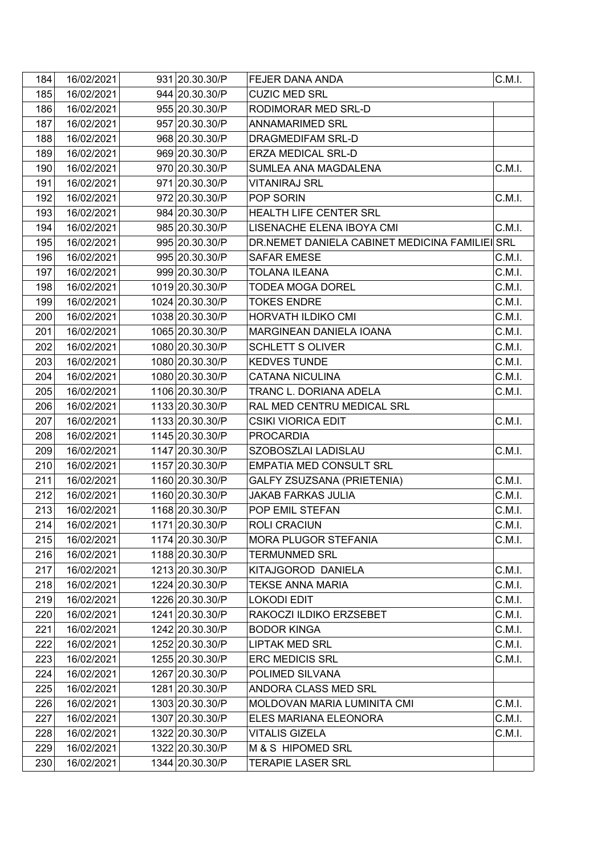| 184 | 16/02/2021 | 931 20.30.30/P  | FEJER DANA ANDA                                | C.M.I. |
|-----|------------|-----------------|------------------------------------------------|--------|
| 185 | 16/02/2021 | 944 20.30.30/P  | <b>CUZIC MED SRL</b>                           |        |
| 186 | 16/02/2021 | 955 20.30.30/P  | RODIMORAR MED SRL-D                            |        |
| 187 | 16/02/2021 | 957 20.30.30/P  | <b>ANNAMARIMED SRL</b>                         |        |
| 188 | 16/02/2021 | 968 20.30.30/P  | DRAGMEDIFAM SRL-D                              |        |
| 189 | 16/02/2021 | 969 20.30.30/P  | <b>ERZA MEDICAL SRL-D</b>                      |        |
| 190 | 16/02/2021 | 970 20.30.30/P  | SUMLEA ANA MAGDALENA                           | C.M.I. |
| 191 | 16/02/2021 | 971 20.30.30/P  | <b>VITANIRAJ SRL</b>                           |        |
| 192 | 16/02/2021 | 972 20.30.30/P  | POP SORIN                                      | C.M.I. |
| 193 | 16/02/2021 | 984 20.30.30/P  | HEALTH LIFE CENTER SRL                         |        |
| 194 | 16/02/2021 | 985 20.30.30/P  | LISENACHE ELENA IBOYA CMI                      | C.M.I. |
| 195 | 16/02/2021 | 995 20.30.30/P  | DR.NEMET DANIELA CABINET MEDICINA FAMILIEI SRL |        |
| 196 | 16/02/2021 | 995 20.30.30/P  | <b>SAFAR EMESE</b>                             | C.M.I. |
| 197 | 16/02/2021 | 999 20.30.30/P  | <b>TOLANA ILEANA</b>                           | C.M.I. |
| 198 | 16/02/2021 | 1019 20.30.30/P | TODEA MOGA DOREL                               | C.M.I. |
| 199 | 16/02/2021 | 1024 20.30.30/P | <b>TOKES ENDRE</b>                             | C.M.I. |
| 200 | 16/02/2021 | 1038 20.30.30/P | HORVATH ILDIKO CMI                             | C.M.I. |
| 201 | 16/02/2021 | 1065 20.30.30/P | MARGINEAN DANIELA IOANA                        | C.M.I. |
| 202 | 16/02/2021 | 1080 20.30.30/P | <b>SCHLETT S OLIVER</b>                        | C.M.I. |
| 203 | 16/02/2021 | 1080 20.30.30/P | <b>KEDVES TUNDE</b>                            | C.M.I. |
| 204 | 16/02/2021 | 1080 20.30.30/P | CATANA NICULINA                                | C.M.I. |
| 205 | 16/02/2021 | 1106 20.30.30/P | TRANC L. DORIANA ADELA                         | C.M.I. |
| 206 | 16/02/2021 | 1133 20.30.30/P | RAL MED CENTRU MEDICAL SRL                     |        |
| 207 | 16/02/2021 | 1133 20.30.30/P | <b>CSIKI VIORICA EDIT</b>                      | C.M.I. |
| 208 | 16/02/2021 | 1145 20.30.30/P | <b>PROCARDIA</b>                               |        |
| 209 | 16/02/2021 | 1147 20.30.30/P | SZOBOSZLAI LADISLAU                            | C.M.I. |
| 210 | 16/02/2021 | 1157 20.30.30/P | EMPATIA MED CONSULT SRL                        |        |
| 211 | 16/02/2021 | 1160 20.30.30/P | GALFY ZSUZSANA (PRIETENIA)                     | C.M.I. |
| 212 | 16/02/2021 | 1160 20.30.30/P | <b>JAKAB FARKAS JULIA</b>                      | C.M.I. |
| 213 | 16/02/2021 | 1168 20.30.30/P | POP EMIL STEFAN                                | C.M.I. |
| 214 | 16/02/2021 | 1171 20.30.30/P | ROLI CRACIUN                                   | C.M.I. |
| 215 | 16/02/2021 | 1174 20.30.30/P | MORA PLUGOR STEFANIA                           | C.M.I. |
| 216 | 16/02/2021 | 1188 20.30.30/P | <b>TERMUNMED SRL</b>                           |        |
| 217 | 16/02/2021 | 1213 20.30.30/P | KITAJGOROD DANIELA                             | C.M.I. |
| 218 | 16/02/2021 | 1224 20.30.30/P | TEKSE ANNA MARIA                               | C.M.I. |
| 219 | 16/02/2021 | 1226 20.30.30/P | LOKODI EDIT                                    | C.M.I. |
| 220 | 16/02/2021 | 1241 20.30.30/P | RAKOCZI ILDIKO ERZSEBET                        | C.M.I. |
| 221 | 16/02/2021 | 1242 20.30.30/P | <b>BODOR KINGA</b>                             | C.M.I. |
| 222 | 16/02/2021 | 1252 20.30.30/P | <b>LIPTAK MED SRL</b>                          | C.M.I. |
| 223 | 16/02/2021 | 1255 20.30.30/P | <b>ERC MEDICIS SRL</b>                         | C.M.I. |
| 224 | 16/02/2021 | 1267 20.30.30/P | POLIMED SILVANA                                |        |
| 225 | 16/02/2021 | 1281 20.30.30/P | ANDORA CLASS MED SRL                           |        |
| 226 | 16/02/2021 | 1303 20.30.30/P | MOLDOVAN MARIA LUMINITA CMI                    | C.M.I. |
| 227 | 16/02/2021 | 1307 20.30.30/P | ELES MARIANA ELEONORA                          | C.M.I. |
| 228 | 16/02/2021 | 1322 20.30.30/P | VITALIS GIZELA                                 | C.M.I. |
| 229 | 16/02/2021 | 1322 20.30.30/P | M & S HIPOMED SRL                              |        |
| 230 | 16/02/2021 | 1344 20.30.30/P | TERAPIE LASER SRL                              |        |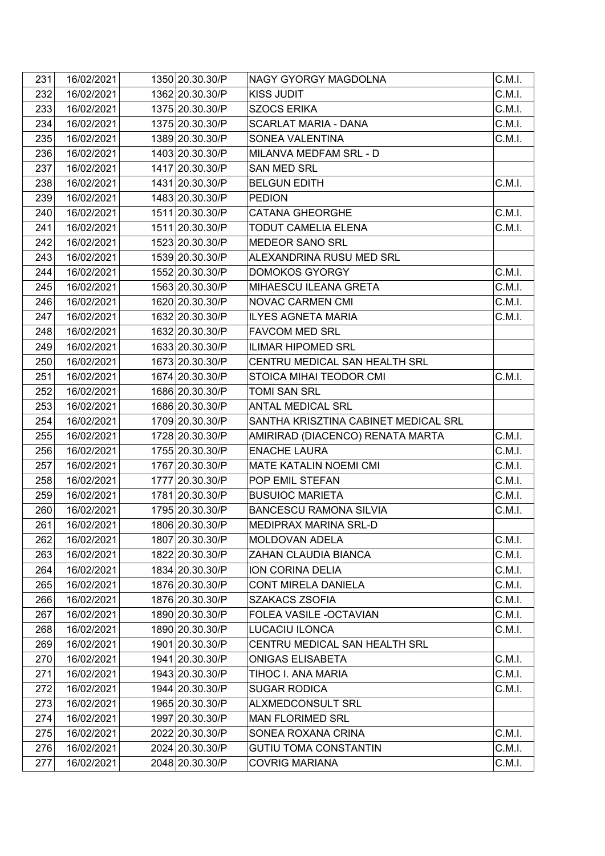| 231 | 16/02/2021 | 1350 20.30.30/P | NAGY GYORGY MAGDOLNA                 | C.M.I. |
|-----|------------|-----------------|--------------------------------------|--------|
| 232 | 16/02/2021 | 1362 20.30.30/P | <b>KISS JUDIT</b>                    | C.M.I. |
| 233 | 16/02/2021 | 1375 20.30.30/P | <b>SZOCS ERIKA</b>                   | C.M.I. |
| 234 | 16/02/2021 | 1375 20.30.30/P | <b>SCARLAT MARIA - DANA</b>          | C.M.I. |
| 235 | 16/02/2021 | 1389 20.30.30/P | SONEA VALENTINA                      | C.M.I. |
| 236 | 16/02/2021 | 1403 20.30.30/P | MILANVA MEDFAM SRL - D               |        |
| 237 | 16/02/2021 | 1417 20.30.30/P | <b>SAN MED SRL</b>                   |        |
| 238 | 16/02/2021 | 1431 20.30.30/P | <b>BELGUN EDITH</b>                  | C.M.I. |
| 239 | 16/02/2021 | 1483 20.30.30/P | <b>PEDION</b>                        |        |
| 240 | 16/02/2021 | 1511 20.30.30/P | <b>CATANA GHEORGHE</b>               | C.M.I. |
| 241 | 16/02/2021 | 1511 20.30.30/P | TODUT CAMELIA ELENA                  | C.M.I. |
| 242 | 16/02/2021 | 1523 20.30.30/P | MEDEOR SANO SRL                      |        |
| 243 | 16/02/2021 | 1539 20.30.30/P | ALEXANDRINA RUSU MED SRL             |        |
| 244 | 16/02/2021 | 1552 20.30.30/P | <b>DOMOKOS GYORGY</b>                | C.M.I. |
| 245 | 16/02/2021 | 1563 20.30.30/P | MIHAESCU ILEANA GRETA                | C.M.I. |
| 246 | 16/02/2021 | 1620 20.30.30/P | NOVAC CARMEN CMI                     | C.M.I. |
| 247 | 16/02/2021 | 1632 20.30.30/P | <b>ILYES AGNETA MARIA</b>            | C.M.I. |
| 248 | 16/02/2021 | 1632 20.30.30/P | <b>FAVCOM MED SRL</b>                |        |
| 249 | 16/02/2021 | 1633 20.30.30/P | <b>ILIMAR HIPOMED SRL</b>            |        |
| 250 | 16/02/2021 | 1673 20.30.30/P | CENTRU MEDICAL SAN HEALTH SRL        |        |
| 251 | 16/02/2021 | 1674 20.30.30/P | STOICA MIHAI TEODOR CMI              | C.M.I. |
| 252 | 16/02/2021 | 1686 20.30.30/P | TOMI SAN SRL                         |        |
| 253 | 16/02/2021 | 1686 20.30.30/P | <b>ANTAL MEDICAL SRL</b>             |        |
| 254 | 16/02/2021 | 1709 20.30.30/P | SANTHA KRISZTINA CABINET MEDICAL SRL |        |
| 255 | 16/02/2021 | 1728 20.30.30/P | AMIRIRAD (DIACENCO) RENATA MARTA     | C.M.I. |
| 256 | 16/02/2021 | 1755 20.30.30/P | <b>ENACHE LAURA</b>                  | C.M.I. |
| 257 | 16/02/2021 | 1767 20.30.30/P | MATE KATALIN NOEMI CMI               | C.M.I. |
| 258 | 16/02/2021 | 1777 20.30.30/P | POP EMIL STEFAN                      | C.M.I. |
| 259 | 16/02/2021 | 1781 20.30.30/P | <b>BUSUIOC MARIETA</b>               | C.M.I. |
| 260 | 16/02/2021 | 1795 20.30.30/P | <b>BANCESCU RAMONA SILVIA</b>        | C.M.I. |
| 261 | 16/02/2021 | 1806 20.30.30/P | MEDIPRAX MARINA SRL-D                |        |
| 262 | 16/02/2021 | 1807 20.30.30/P | MOLDOVAN ADELA                       | C.M.I. |
| 263 | 16/02/2021 | 1822 20.30.30/P | ZAHAN CLAUDIA BIANCA                 | C.M.I. |
| 264 | 16/02/2021 | 1834 20.30.30/P | ION CORINA DELIA                     | C.M.I. |
| 265 | 16/02/2021 | 1876 20.30.30/P | CONT MIRELA DANIELA                  | C.M.I. |
| 266 | 16/02/2021 | 1876 20.30.30/P | <b>SZAKACS ZSOFIA</b>                | C.M.I. |
| 267 | 16/02/2021 | 1890 20.30.30/P | FOLEA VASILE - OCTAVIAN              | C.M.I. |
| 268 | 16/02/2021 | 1890 20.30.30/P | LUCACIU ILONCA                       | C.M.I. |
| 269 | 16/02/2021 | 1901 20.30.30/P | CENTRU MEDICAL SAN HEALTH SRL        |        |
| 270 | 16/02/2021 | 1941 20.30.30/P | ONIGAS ELISABETA                     | C.M.I. |
| 271 | 16/02/2021 | 1943 20.30.30/P | TIHOC I. ANA MARIA                   | C.M.I. |
| 272 | 16/02/2021 | 1944 20.30.30/P | <b>SUGAR RODICA</b>                  | C.M.I. |
| 273 | 16/02/2021 | 1965 20.30.30/P | ALXMEDCONSULT SRL                    |        |
| 274 | 16/02/2021 | 1997 20.30.30/P | <b>MAN FLORIMED SRL</b>              |        |
| 275 | 16/02/2021 | 2022 20.30.30/P | SONEA ROXANA CRINA                   | C.M.I. |
| 276 | 16/02/2021 | 2024 20.30.30/P | <b>GUTIU TOMA CONSTANTIN</b>         | C.M.I. |
| 277 | 16/02/2021 | 2048 20.30.30/P | <b>COVRIG MARIANA</b>                | C.M.I. |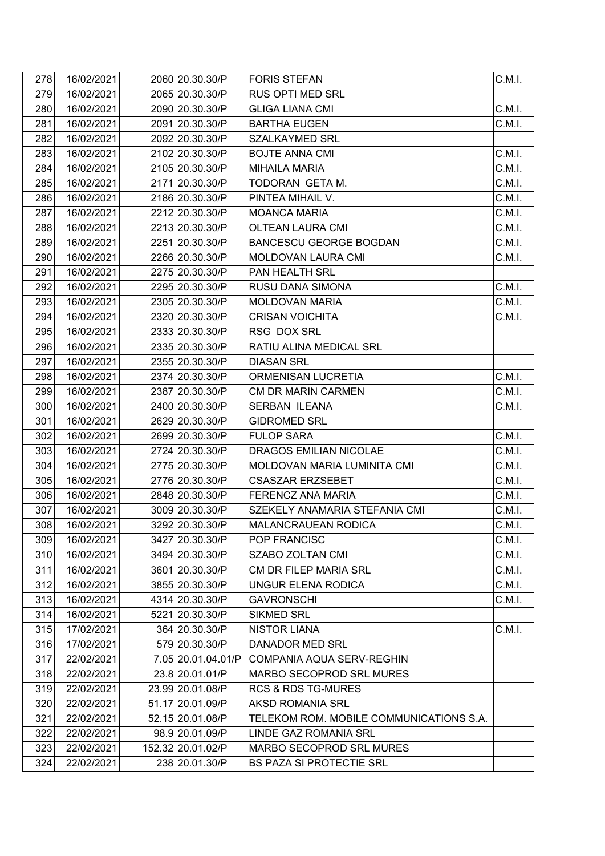| 278 | 16/02/2021 | 2060 20.30.30/P    | <b>FORIS STEFAN</b>                     | C.M.I. |
|-----|------------|--------------------|-----------------------------------------|--------|
| 279 | 16/02/2021 | 2065 20.30.30/P    | RUS OPTI MED SRL                        |        |
| 280 | 16/02/2021 | 2090 20.30.30/P    | <b>GLIGA LIANA CMI</b>                  | C.M.I. |
| 281 | 16/02/2021 | 2091 20.30.30/P    | <b>BARTHA EUGEN</b>                     | C.M.I. |
| 282 | 16/02/2021 | 2092 20.30.30/P    | SZALKAYMED SRL                          |        |
| 283 | 16/02/2021 | 2102 20.30.30/P    | <b>BOJTE ANNA CMI</b>                   | C.M.I. |
| 284 | 16/02/2021 | 2105 20.30.30/P    | <b>MIHAILA MARIA</b>                    | C.M.I. |
| 285 | 16/02/2021 | 2171 20.30.30/P    | TODORAN GETA M.                         | C.M.I. |
| 286 | 16/02/2021 | 2186 20.30.30/P    | PINTEA MIHAIL V.                        | C.M.I. |
| 287 | 16/02/2021 | 2212 20.30.30/P    | <b>MOANCA MARIA</b>                     | C.M.I. |
| 288 | 16/02/2021 | 2213 20.30.30/P    | <b>OLTEAN LAURA CMI</b>                 | C.M.I. |
| 289 | 16/02/2021 | 2251 20.30.30/P    | <b>BANCESCU GEORGE BOGDAN</b>           | C.M.I. |
| 290 | 16/02/2021 | 2266 20.30.30/P    | MOLDOVAN LAURA CMI                      | C.M.I. |
| 291 | 16/02/2021 | 2275 20.30.30/P    | PAN HEALTH SRL                          |        |
| 292 | 16/02/2021 | 2295 20.30.30/P    | RUSU DANA SIMONA                        | C.M.I. |
| 293 | 16/02/2021 | 2305 20.30.30/P    | <b>MOLDOVAN MARIA</b>                   | C.M.I. |
| 294 | 16/02/2021 | 2320 20.30.30/P    | <b>CRISAN VOICHITA</b>                  | C.M.I. |
| 295 | 16/02/2021 | 2333 20.30.30/P    | RSG DOX SRL                             |        |
| 296 | 16/02/2021 | 2335 20.30.30/P    | RATIU ALINA MEDICAL SRL                 |        |
| 297 | 16/02/2021 | 2355 20.30.30/P    | <b>DIASAN SRL</b>                       |        |
| 298 | 16/02/2021 | 2374 20.30.30/P    | ORMENISAN LUCRETIA                      | C.M.I. |
| 299 | 16/02/2021 | 2387 20.30.30/P    | <b>CM DR MARIN CARMEN</b>               | C.M.I. |
| 300 | 16/02/2021 | 2400 20.30.30/P    | <b>SERBAN ILEANA</b>                    | C.M.I. |
| 301 | 16/02/2021 | 2629 20.30.30/P    | <b>GIDROMED SRL</b>                     |        |
| 302 | 16/02/2021 | 2699 20.30.30/P    | <b>FULOP SARA</b>                       | C.M.I. |
| 303 | 16/02/2021 | 2724 20.30.30/P    | DRAGOS EMILIAN NICOLAE                  | C.M.I. |
| 304 | 16/02/2021 | 2775 20.30.30/P    | MOLDOVAN MARIA LUMINITA CMI             | C.M.I. |
| 305 | 16/02/2021 | 2776 20.30.30/P    | <b>CSASZAR ERZSEBET</b>                 | C.M.I. |
| 306 | 16/02/2021 | 2848 20.30.30/P    | FERENCZ ANA MARIA                       | C.M.I. |
| 307 | 16/02/2021 | 3009 20.30.30/P    | SZEKELY ANAMARIA STEFANIA CMI           | C.M.I. |
| 308 | 16/02/2021 | 3292 20.30.30/P    | <b>MALANCRAUEAN RODICA</b>              | C.M.I. |
| 309 | 16/02/2021 | 3427 20.30.30/P    | POP FRANCISC                            | C.M.I. |
| 310 | 16/02/2021 | 3494 20.30.30/P    | SZABO ZOLTAN CMI                        | C.M.I. |
| 311 | 16/02/2021 | 3601 20.30.30/P    | CM DR FILEP MARIA SRL                   | C.M.I. |
| 312 | 16/02/2021 | 3855 20.30.30/P    | UNGUR ELENA RODICA                      | C.M.I. |
| 313 | 16/02/2021 | 4314 20.30.30/P    | <b>GAVRONSCHI</b>                       | C.M.I. |
| 314 | 16/02/2021 | 5221 20.30.30/P    | <b>SIKMED SRL</b>                       |        |
| 315 | 17/02/2021 | 364 20.30.30/P     | <b>NISTOR LIANA</b>                     | C.M.1. |
| 316 | 17/02/2021 | 579 20.30.30/P     | DANADOR MED SRL                         |        |
| 317 | 22/02/2021 | 7.05 20.01.04.01/P | COMPANIA AQUA SERV-REGHIN               |        |
| 318 | 22/02/2021 | 23.8 20.01.01/P    | MARBO SECOPROD SRL MURES                |        |
| 319 | 22/02/2021 | 23.99 20.01.08/P   | <b>RCS &amp; RDS TG-MURES</b>           |        |
| 320 | 22/02/2021 | 51.17 20.01.09/P   | <b>AKSD ROMANIA SRL</b>                 |        |
| 321 | 22/02/2021 | 52.15 20.01.08/P   | TELEKOM ROM. MOBILE COMMUNICATIONS S.A. |        |
| 322 | 22/02/2021 | 98.9 20.01.09/P    | LINDE GAZ ROMANIA SRL                   |        |
| 323 | 22/02/2021 | 152.32 20.01.02/P  | MARBO SECOPROD SRL MURES                |        |
| 324 | 22/02/2021 | 238 20.01.30/P     | <b>BS PAZA SI PROTECTIE SRL</b>         |        |